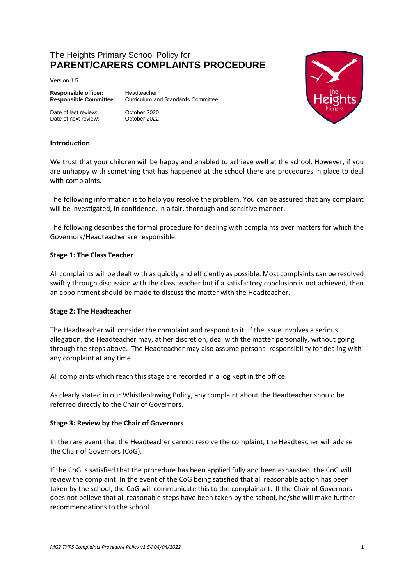# The Heights Primary School Policy for **PARENT/CARERS COMPLAINTS PROCEDURE**

Version 1.5

**Responsible officer:** Headteacher

Date of last review: October 2020 Date of next review: October 2022

**Responsible Committee:** Curriculum and Standards Committee



#### **Introduction**

We trust that your children will be happy and enabled to achieve well at the school. However, if you are unhappy with something that has happened at the school there are procedures in place to deal with complaints.

The following information is to help you resolve the problem. You can be assured that any complaint will be investigated, in confidence, in a fair, thorough and sensitive manner.

The following describes the formal procedure for dealing with complaints over matters for which the Governors/Headteacher are responsible.

#### **Stage 1: The Class Teacher**

All complaints will be dealt with as quickly and efficiently as possible. Most complaints can be resolved swiftly through discussion with the class teacher but if a satisfactory conclusion is not achieved, then an appointment should be made to discuss the matter with the Headteacher.

### **Stage 2: The Headteacher**

The Headteacher will consider the complaint and respond to it. If the issue involves a serious allegation, the Headteacher may, at her discretion, deal with the matter personally, without going through the steps above. The Headteacher may also assume personal responsibility for dealing with any complaint at any time.

All complaints which reach this stage are recorded in a log kept in the office.

As clearly stated in our Whistleblowing Policy, any complaint about the Headteacher should be referred directly to the Chair of Governors.

#### **Stage 3: Review by the Chair of Governors**

In the rare event that the Headteacher cannot resolve the complaint, the Headteacher will advise the Chair of Governors (CoG).

If the CoG is satisfied that the procedure has been applied fully and been exhausted, the CoG will review the complaint. In the event of the CoG being satisfied that all reasonable action has been taken by the school, the CoG will communicate this to the complainant. If the Chair of Governors does not believe that all reasonable steps have been taken by the school, he/she will make further recommendations to the school.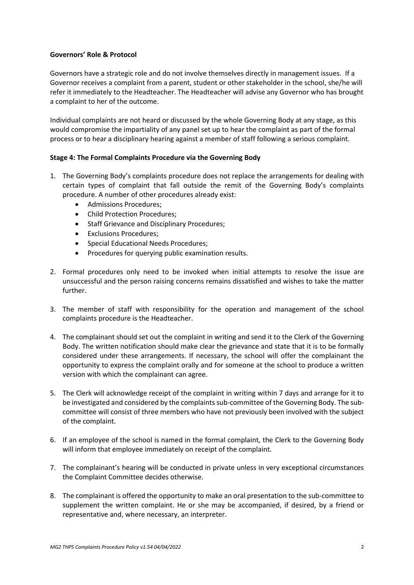### **Governors' Role & Protocol**

Governors have a strategic role and do not involve themselves directly in management issues. If a Governor receives a complaint from a parent, student or other stakeholder in the school, she/he will refer it immediately to the Headteacher. The Headteacher will advise any Governor who has brought a complaint to her of the outcome.

Individual complaints are not heard or discussed by the whole Governing Body at any stage, as this would compromise the impartiality of any panel set up to hear the complaint as part of the formal process or to hear a disciplinary hearing against a member of staff following a serious complaint.

### **Stage 4: The Formal Complaints Procedure via the Governing Body**

- 1. The Governing Body's complaints procedure does not replace the arrangements for dealing with certain types of complaint that fall outside the remit of the Governing Body's complaints procedure. A number of other procedures already exist:
	- Admissions Procedures;
	- Child Protection Procedures;
	- Staff Grievance and Disciplinary Procedures;
	- Exclusions Procedures:
	- Special Educational Needs Procedures;
	- Procedures for querying public examination results.
- 2. Formal procedures only need to be invoked when initial attempts to resolve the issue are unsuccessful and the person raising concerns remains dissatisfied and wishes to take the matter further.
- 3. The member of staff with responsibility for the operation and management of the school complaints procedure is the Headteacher.
- 4. The complainant should set out the complaint in writing and send it to the Clerk of the Governing Body. The written notification should make clear the grievance and state that it is to be formally considered under these arrangements. If necessary, the school will offer the complainant the opportunity to express the complaint orally and for someone at the school to produce a written version with which the complainant can agree.
- 5. The Clerk will acknowledge receipt of the complaint in writing within 7 days and arrange for it to be investigated and considered by the complaints sub-committee of the Governing Body. The subcommittee will consist of three members who have not previously been involved with the subject of the complaint.
- 6. If an employee of the school is named in the formal complaint, the Clerk to the Governing Body will inform that employee immediately on receipt of the complaint.
- 7. The complainant's hearing will be conducted in private unless in very exceptional circumstances the Complaint Committee decides otherwise.
- 8. The complainant is offered the opportunity to make an oral presentation to the sub-committee to supplement the written complaint. He or she may be accompanied, if desired, by a friend or representative and, where necessary, an interpreter.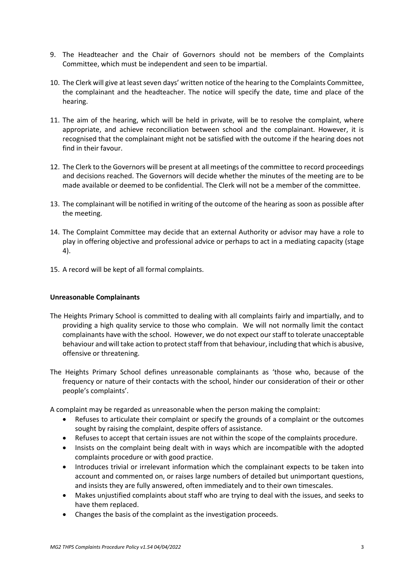- 9. The Headteacher and the Chair of Governors should not be members of the Complaints Committee, which must be independent and seen to be impartial.
- 10. The Clerk will give at least seven days' written notice of the hearing to the Complaints Committee, the complainant and the headteacher. The notice will specify the date, time and place of the hearing.
- 11. The aim of the hearing, which will be held in private, will be to resolve the complaint, where appropriate, and achieve reconciliation between school and the complainant. However, it is recognised that the complainant might not be satisfied with the outcome if the hearing does not find in their favour.
- 12. The Clerk to the Governors will be present at all meetings of the committee to record proceedings and decisions reached. The Governors will decide whether the minutes of the meeting are to be made available or deemed to be confidential. The Clerk will not be a member of the committee.
- 13. The complainant will be notified in writing of the outcome of the hearing as soon as possible after the meeting.
- 14. The Complaint Committee may decide that an external Authority or advisor may have a role to play in offering objective and professional advice or perhaps to act in a mediating capacity (stage 4).
- 15. A record will be kept of all formal complaints.

### **Unreasonable Complainants**

- The Heights Primary School is committed to dealing with all complaints fairly and impartially, and to providing a high quality service to those who complain. We will not normally limit the contact complainants have with the school. However, we do not expect our staff to tolerate unacceptable behaviour and will take action to protect staff from that behaviour, including that which is abusive, offensive or threatening.
- The Heights Primary School defines unreasonable complainants as 'those who, because of the frequency or nature of their contacts with the school, hinder our consideration of their or other people's complaints'.

A complaint may be regarded as unreasonable when the person making the complaint:

- Refuses to articulate their complaint or specify the grounds of a complaint or the outcomes sought by raising the complaint, despite offers of assistance.
- Refuses to accept that certain issues are not within the scope of the complaints procedure.
- Insists on the complaint being dealt with in ways which are incompatible with the adopted complaints procedure or with good practice.
- Introduces trivial or irrelevant information which the complainant expects to be taken into account and commented on, or raises large numbers of detailed but unimportant questions, and insists they are fully answered, often immediately and to their own timescales.
- Makes unjustified complaints about staff who are trying to deal with the issues, and seeks to have them replaced.
- Changes the basis of the complaint as the investigation proceeds.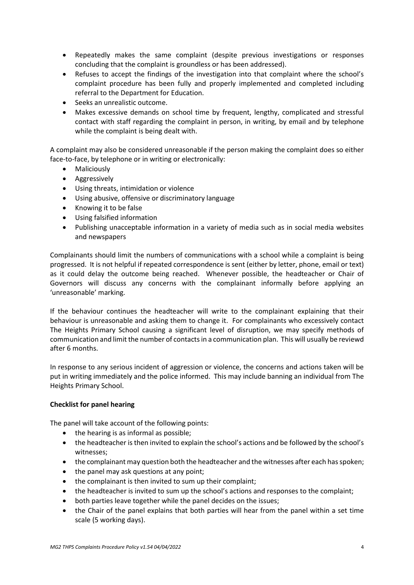- Repeatedly makes the same complaint (despite previous investigations or responses concluding that the complaint is groundless or has been addressed).
- Refuses to accept the findings of the investigation into that complaint where the school's complaint procedure has been fully and properly implemented and completed including referral to the Department for Education.
- Seeks an unrealistic outcome.
- Makes excessive demands on school time by frequent, lengthy, complicated and stressful contact with staff regarding the complaint in person, in writing, by email and by telephone while the complaint is being dealt with.

A complaint may also be considered unreasonable if the person making the complaint does so either face-to-face, by telephone or in writing or electronically:

- Maliciously
- **•** Aggressively
- Using threats, intimidation or violence
- Using abusive, offensive or discriminatory language
- Knowing it to be false
- Using falsified information
- Publishing unacceptable information in a variety of media such as in social media websites and newspapers

Complainants should limit the numbers of communications with a school while a complaint is being progressed. It is not helpful if repeated correspondence is sent (either by letter, phone, email or text) as it could delay the outcome being reached. Whenever possible, the headteacher or Chair of Governors will discuss any concerns with the complainant informally before applying an 'unreasonable' marking.

If the behaviour continues the headteacher will write to the complainant explaining that their behaviour is unreasonable and asking them to change it. For complainants who excessively contact The Heights Primary School causing a significant level of disruption, we may specify methods of communication and limit the number of contacts in a communication plan. This will usually be reviewd after 6 months.

In response to any serious incident of aggression or violence, the concerns and actions taken will be put in writing immediately and the police informed. This may include banning an individual from The Heights Primary School.

### **Checklist for panel hearing**

The panel will take account of the following points:

- the hearing is as informal as possible;
- the headteacher is then invited to explain the school's actions and be followed by the school's witnesses;
- the complainant may question both the headteacher and the witnesses after each has spoken;
- the panel may ask questions at any point;
- the complainant is then invited to sum up their complaint;
- the headteacher is invited to sum up the school's actions and responses to the complaint;
- both parties leave together while the panel decides on the issues;
- the Chair of the panel explains that both parties will hear from the panel within a set time scale (5 working days).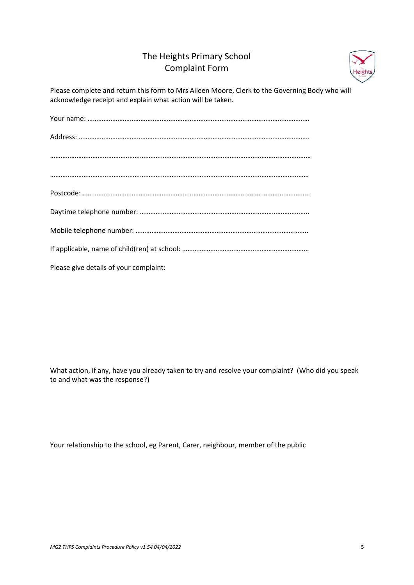# The Heights Primary School Complaint Form



Please complete and return this form to Mrs Aileen Moore, Clerk to the Governing Body who will acknowledge receipt and explain what action will be taken.

Your name: ……………………………………………………………………………………………………………… Address: ………………………………………………………………………………………………………………….. ……………………………………………………………………………………………………………….………………… ………………………………………………………………………………………………………………………………… Postcode: …………………………………………………………………………………………………….………….. Daytime telephone number: ……………………………………………………………………….………….. Mobile telephone number: …………………………………………………………………………………….. If applicable, name of child(ren) at school: ……………………………………………………………… Please give details of your complaint:

What action, if any, have you already taken to try and resolve your complaint? (Who did you speak to and what was the response?)

Your relationship to the school, eg Parent, Carer, neighbour, member of the public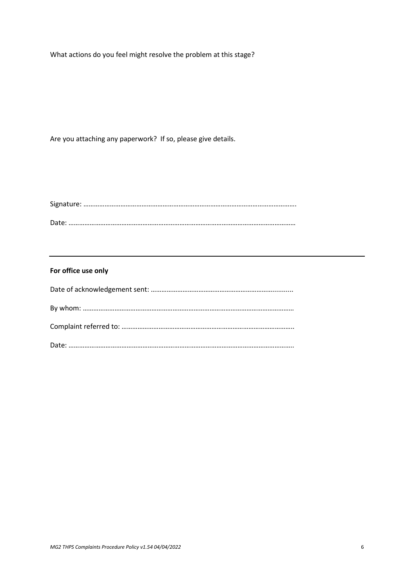What actions do you feel might resolve the problem at this stage?

Are you attaching any paperwork? If so, please give details.

Signature: …………………………………………………………………………………………………………. Date: …………………………………………………………………………………………………………………

# **For office use only**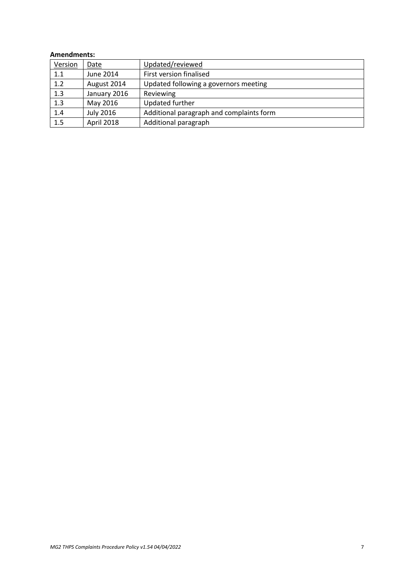#### **Amendments:**

| Version | Date             | Updated/reviewed                         |
|---------|------------------|------------------------------------------|
| 1.1     | June 2014        | First version finalised                  |
| 1.2     | August 2014      | Updated following a governors meeting    |
| 1.3     | January 2016     | Reviewing                                |
| 1.3     | May 2016         | Updated further                          |
| 1.4     | <b>July 2016</b> | Additional paragraph and complaints form |
| 1.5     | April 2018       | Additional paragraph                     |